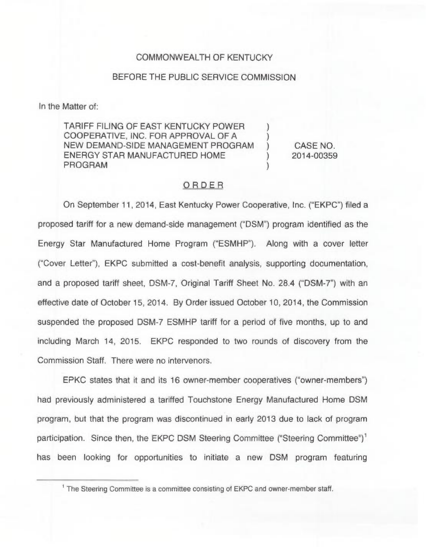## COMMONWEALTH OF KENTUCKY

## BEFORE THE PUBLIC SERVICE COMMISSION

In the Matter of:

TARIFF FILING OF EAST KENTUCKY POWER COOPERATIVE, INC. FOR APPROVAL OF A NEW DEMAND-SIDE MANAGEMENT PROGRAM ENERGY STAR MANUFACTURED HOME PROGRAM

) CASE NO. ) 2014-00359

) )

)

## ORDER

On September 11, 2014, East Kentucky Power Cooperative, Inc. ("EKPC") filed a proposed tariff for a new demand-side management ("DSM") program identified as the Energy Star Manufactured Home Program ("ESMHP"). Along with a cover letter ("Cover Letter"), EKPC submitted a cost-benefit analysis, supporting documentation, and a proposed tariff sheet, DSM-7, Original Tariff Sheet No. 28.4 ("DSM-7") with an effective date of October 15, 2014. By Order issued October 10, 2014, the Commission suspended the proposed DSM-7 ESMHP tariff for a period of five months, up to and including March 14, 2015. EKPC responded to two rounds of discovery from the Commission Staff. There were no intervenors.

EPKC states that it and its 16 owner-member cooperatives ("owner-members") had previously administered a tariffed Touchstone Energy Manufactured Home DSM program, but that the program was discontinued in early 2013 due to lack of program participation. Since then, the EKPC DSM Steering Committee ("Steering Committee")<sup>1</sup> has been looking for opportunities to initiate a new DSM program featuring

<sup>&</sup>lt;sup>1</sup> The Steering Committee is a committee consisting of EKPC and owner-member staff.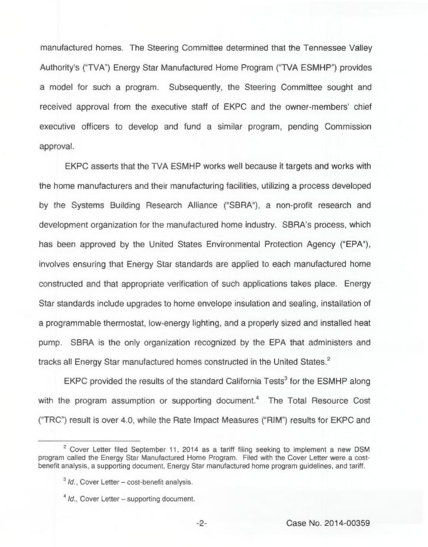manufactured homes. The Steering Committee determined that the Tennessee Valley Authority's ("TVA") Energy Star Manufactured Home Program ("TVA ESMHP") provides a model for such a program. Subsequently, the Steering Committee sought and received approval from the executive staff of EKPC and the owner-members' chief executive officers to develop and fund a similar program, pending Commission approval.

EKPC asserts that the TVA ESMHP works well because it targets and works with the home manufacturers and their manufacturing facilities, utilizing a process developed by the Systems Building Research Alliance ("SBRA"), a non-profit research and development organization for the manufactured home industry. SBRA's process, which has been approved by the United States Environmental Protection Agency ("EPA"), involves ensuring that Energy Star standards are applied to each manufactured home constructed and that appropriate verification of such applications takes place. Energy Star standards include upgrades to home envelope insulation and sealing, installation of a programmable thermostat, low-energy lighting, and a properly sized and installed heat pump. SBRA is the only organization recognized by the EPA that administers and tracks all Energy Star manufactured homes constructed in the United States.<sup>2</sup>

EKPC provided the results of the standard California Tests<sup>3</sup> for the ESMHP along with the program assumption or supporting document.<sup>4</sup> The Total Resource Cost ("TRC") result is over 4.0, while the Rate Impact Measures ("RIM") results for EKPC and

 $2$  Cover Letter filed September 11, 2014 as a tariff filing seeking to implement a new DSM program called the Energy Star Manufactured Home Program. Filed with the Cover Letter were a costbenefit analysis, a supporting document, Energy Star manufactured home program guidelines, and tariff.

 $3$  *Id.*, Cover Letter – cost-benefit analysis.

 $1/d$ ., Cover Letter – supporting document.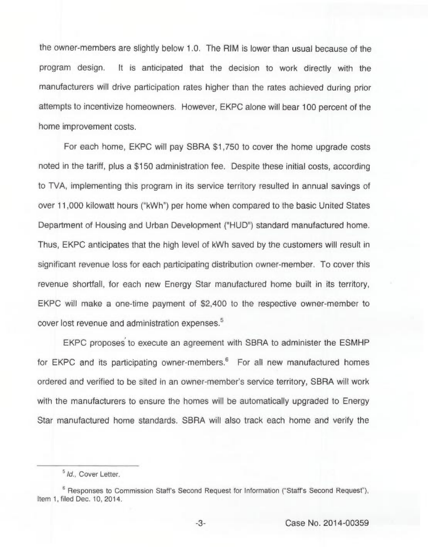the owner-members are slightly below 1.0. The RIM is lower than usual because of the program design. It is anticipated that the decision to work directly with the manufacturers will drive participation rates higher than the rates achieved during prior attempts to incentivize homeowners. However, EKPC alone will bear 100 percent of the home improvement costs.

For each home, EKPC will pay SBRA \$1,750 to cover the home upgrade costs noted in the tariff, plus a \$150 administration fee. Despite these initial costs, according to TVA, implementing this program in its service territory resulted in annual savings of over 11,000 kilowatt hours ("kWh") per home when compared to the basic United States Department of Housing and Urban Development ("HUD") standard manufactured home. Thus, EKPC anticipates that the high level of kWh saved by the customers will result in significant revenue loss for each participating distribution owner-member. To cover this revenue shorffall, for each new Energy Star manufactured home built in its territory, EKPC will make a one-time payment of \$2,400 to the respective owner-member to cover lost revenue and administration expenses.<sup>5</sup>

EKPC proposes to execute an agreement with SBRA to administer the ESMHP for EKPC and its participating owner-members. $6$  For all new manufactured homes ordered and verified to be sited in an owner-member's service territory, SBRA will work with the manufacturers to ensure the homes will be automatically upgraded to Energy Star manufactured home standards. SBRA will also track each home and verify the

<sup>&</sup>lt;sup>5</sup> Id., Cover Letter.

 $e<sup>6</sup>$  Responses to Commission Staff's Second Request for Information ("Staff's Second Request"), Item 1, filed Dec. 10, 2014.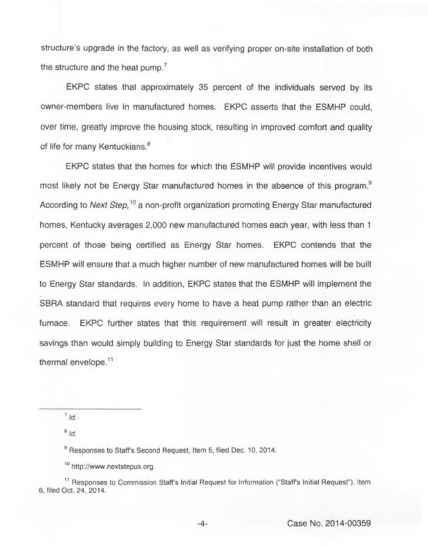structure's upgrade in the factory, as well as verifying proper on-site installation of both the structure and the heat pump.<sup>7</sup>

EKPC states that approximately 35 percent of the individuals served by its owner-members live in manufactured homes. EKPC asserts that the ESMHP could, over time, greatly improve the housing stock, resulting in improved comfort and quality of life for many Kentuckians.<sup>8</sup>

EKPC states that the homes for which the ESMHP will provide incentives would most likely not be Energy Star manufactured homes in the absence of this program.<sup>9</sup> According to Next Step,<sup>10</sup> a non-profit organization promoting Energy Star manufactured homes, Kentucky averages 2,000 new manufactured homes each year, with less than <sup>1</sup> percent of those being certified as Energy Star homes. EKPC contends that the ESMHP will ensure that a much higher number of new manufactured homes will be built to Energy Star standards. In addition, EKPC states that the ESMHP will implement the SBRA standard that requires every home to have a heat pump rather than an electric furnace. EKPC further states that this requirement will result in greater electricity savings than would simply building to Energy Star standards for just the home shell or thermal envelope.<sup>11</sup>

 $8/d$ 

<sup>9</sup> Responses to Staff's Second Request, Item 5, filed Dec. 10, 2014.

<sup>10</sup> http://www.nextstepus.org.

nd in the sponses to Commission Staff's Initial Request for Information ("Staff's Initial Request"), Item<br>In the Staff's Initial Request in the Reguest of Information ("Staff's Initial Request"), Item 6, filed Oct. 24, 2014.

 $7/d$ .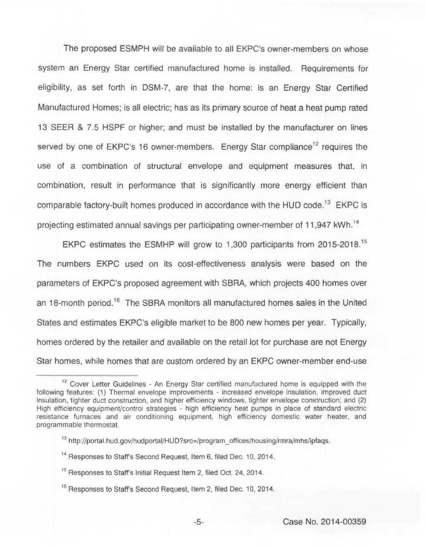The proposed ESMPH will be available to all EKPC's owner-members on whose system an Energy Star certified manufactured home is installed. Requirements for eligibility, as set forth in DSM-7, are that the home: is an Energy Star Certified Manufactured Homes; is all electric; has as its primary source of heat a heat pump rated 13 SEER & 7.5 HSPF or higher; and must be installed by the manufacturer on lines served by one of EKPC's 16 owner-members. Energy Star compliance<sup>12</sup> requires the use of a combination of structural envelope and equipment measures that, in combination, result in performance that is significantly more energy efficient than comparable factory-built homes produced in accordance with the HUD code.<sup>13</sup> EKPC is projecting estimated annual savings per participating owner-member of 11,947 kWh.'4

EKPC estimates the ESMHP will grow to 1,300 participants from 2015-2018." The numbers EKPC used on its cost-effectiveness analysis were based on the parameters of EKPC's proposed agreement with SBRA, which projects 400 homes over an 18-month period.<sup>16</sup> The SBRA monitors all manufactured homes sales in the United States and estimates EKPC's eligible market to be 800 new homes per year. Typically, homes ordered by the retailer and available on the retail lot for purchase are not Energy Star homes, while homes that are custom ordered by an EKPC owner-member end-use

<sup>12&</sup>lt;br>The Cover Letter Guidelines - An Energy Star certified manufactured home is equipped with the following features: (1) Thermal envelope improvements - increased envelope insulation, improved duct insulation, tighter duct construction, and higher efficiency windows, tighter envelope construction; and (2) High efficiency equipment/control strategies - high efficiency heat pumps in place of standard electric resistance furnaces and air conditioning equipment, high efficiency domestic water heater, and programmable thermostat.

<sup>&</sup>lt;sup>13</sup> http://portal.hud.gov/hudportal/HUD?src=/program offices/housing/rmra/mhs/ipfaqs.

<sup>&</sup>quot; Responses to Staffs Second Request, Item 6, filed Dec. 10, 2014.

<sup>&</sup>lt;sup>15</sup> Responses to Staff's Initial Request Item 2, filed Oct. 24, 2014.

<sup>&</sup>quot; Responses to Staffs Second Request, Item 2, filed Dec. 10, 2014.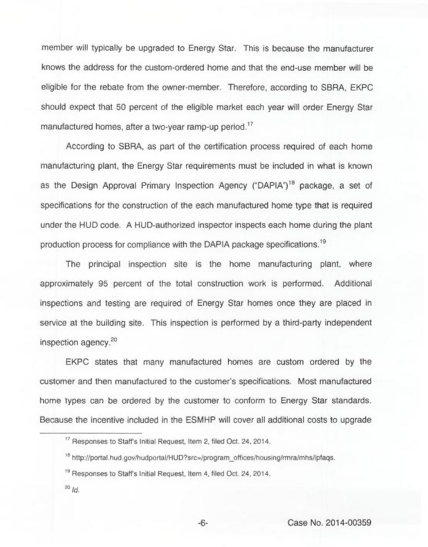member will typically be upgraded to Energy Star. This is because the manufacturer knows the address for the custom-ordered home and that the end-use member will be eligible for the rebate from the owner-member. Therefore, according to SBRA, EKPC should expect that 50 percent of the eligible market each year will order Energy Star manufactured homes, after a two-year ramp-up period.<sup>17</sup>

According to SBRA, as part of the certification process required of each home manufacturing plant, the Energy Star requirements must be included in what is known as the Design Approval Primary Inspection Agency ("DAPIA")" package, a set of specifications for the construction of the each manufactured home type that is required under the HUD code. A HUD-authorized inspector inspects each home during the plant production process for compliance with the DAPIA package specifications.<sup>19</sup>

The principal inspection site is the home manufacturing plant, where approximately 95 percent of the total construction work is performed. Additional inspections and testing are required of Energy Star homes once they are placed in service at the building site. This inspection is performed by a third-party independent inspection agency.<sup>20</sup>

EKPC states that many manufactured homes are custom ordered by the customer and then manufactured to the customer's specifications. Most manufactured home types can be ordered by the customer to conform to Energy Star standards. Because the incentive included in the ESMHP will cover all additional costs to upgrade

 $^{20}$  Id.

<sup>&</sup>lt;sup>17</sup> Responses to Staff's Initial Request, Item 2, filed Oct. 24, 2014.

<sup>&</sup>lt;sup>18</sup> http://portal.hud.gov/hudportal/HUD?src=/program offices/housing/rmra/mhs/ipfaqs.

<sup>&</sup>quot; Responses to Staffs Initial Request, Item 4, filed Oct. 24, 2014.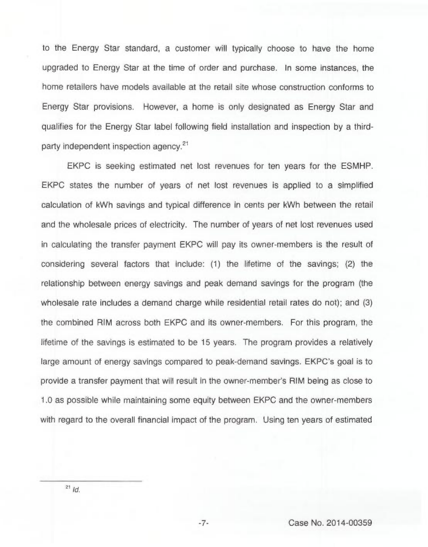to the Energy Star standard, a customer will typically choose to have the home upgraded to Energy Star at the time of order and purchase. In some instances, the home retailers have models available at the retail site whose construction conforms to Energy Star provisions. However, a home is only designated as Energy Star and qualifies for the Energy Star label following field installation and inspection by a thirdparty independent inspection agency.<sup>21</sup>

EKPC is seeking estimated net lost revenues for ten years for the ESMHP. EKPC states the number of years of net lost revenues is applied to a simplified calculation of kWh savings and typical difference in cents per kWh between the retail and the wholesale prices of electricity. The number of years of net lost revenues used in calculating the transfer payment EKPC will pay its owner-members is the result of considering several factors that include: (1) the lifetime of the savings; (2) the relationship between energy savings and peak demand savings for the program (the wholesale rate includes a demand charge while residential retail rates do not); and (3) the combined RIM across both EKPC and its owner-members. For this program, the lifetime of the savings is estimated to be 15 years. The program provides a relatively large amount of energy savings compared to peak-demand savings. EKPC's goal is to provide a transfer payment that will result in the owner-member's RIM being as close to 1.0 as possible while maintaining some equity between EKPC and the owner-members with regard to the overall financial impact of the program. Using ten years of estimated

 $-7-$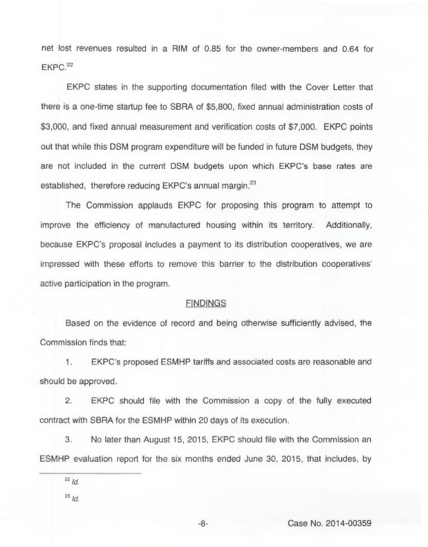net lost revenues resulted in a RIM of 0.85 for the owner-members and 0.64 for EKPC.<sup>22</sup>

EKPC states in the supporting documentation filed with the Cover Letter that there is a one-time startup fee to SBRA of \$5,800, fixed annual administration costs of \$3,000, and fixed annual measurement and verification costs of \$7,000. EKPC points out that while this DSM program expenditure will be funded in future DSM budgets, they are not included in the current DSM budgets upon which EKPC's base rates are established, therefore reducing EKPC's annual margin.<sup>23</sup>

The Commission applauds EKPC for proposing this program to attempt to improve the efficiency of manufactured housing within its territory. Additionally, because EKPC's proposal includes a payment to its distribution cooperatives, we are impressed with these efforts to remove this barrier to the distribution active participation in the program.

## **FINDINGS**

Based on the evidence of record and being otherwise sufficiently advised, the Commission finds that:

1. EKPC's proposed ESMHP tariffs and associated costs are reasonable and should be approved.

2. EKPC should file with the Commission a copy of the fully executed contract with SBRA for the ESMHP within 20 days of its execution.

3. No later than August 15, 2015, EKPC should file with the Commission an ESMHP evaluation report for the six months ended June 30, 2015, that includes, by

 $23$   $\overline{d}$ .

 $22$   $1d$ .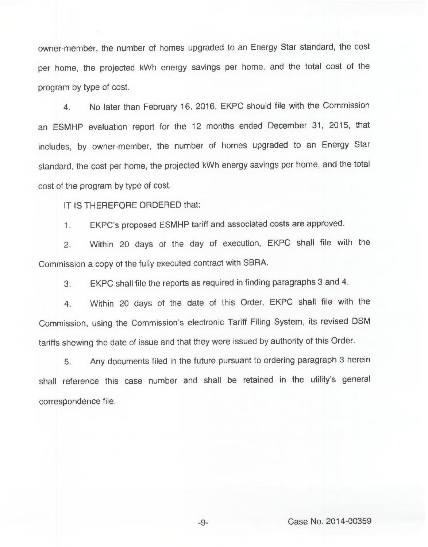owner-member, the number of homes upgraded to an Energy Star standard, the cost per home, the projected kWh energy savings per home, and the total cost of the program by type of cost.

4. No later than February 16, 2016, EKPC should file with the Commission an ESMHP evaluation report for the 12 months ended December 31, 2015, that includes, by owner-member, the number of homes upgraded to an Energy Star standard, the cost per home, the projected kWh energy savings per home, and the total cost of the program by type of cost.

IT IS THEREFORE ORDERED that:

1. EKPC's proposed ESMHP tariff and associated costs are approved.

2. Within 20 days of the day of execution, EKPC shall file with the Commission a copy of the fully executed contract with SBRA.

3. EKPC shall file the reports as required in finding paragraphs 3 and 4.

4. Within 20 days of the date of this Order, EKPC shall file with the Commission, using the Commission's electronic Tariff Filing System, its revised DSM tariffs showing the date of issue and that they were issued by authority of this Order.

5. Any documents filed in the future pursuant to ordering paragraph 3 herein shall reference this case number and shall be retained in the utility's general correspondence file.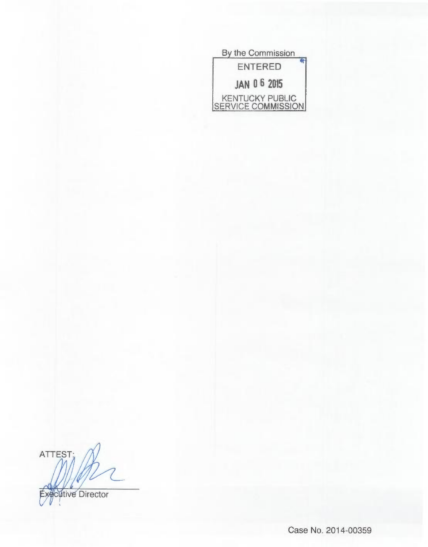| By the Commission                     |
|---------------------------------------|
| <b>ENTERED</b>                        |
| <b>JAN 06 2015</b>                    |
| KENTUCKY PUBLIC<br>SERVICE COMMISSION |

ATTEST; **Executive Director** 

Case No. 2014-00359